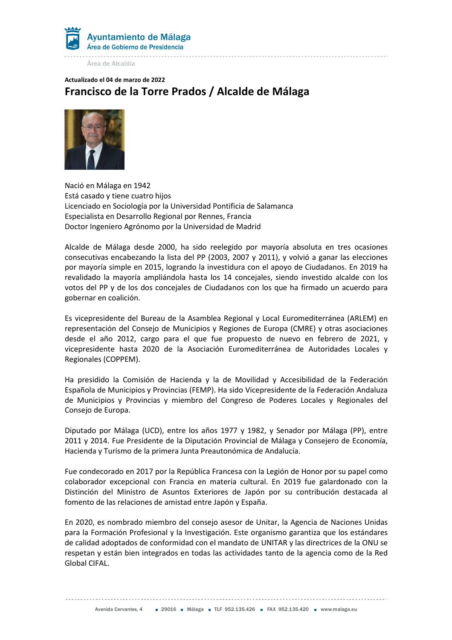

Área de Alcaldía

## Actualizado el 04 de marzo de 2022 Francisco de la Torre Prados / Alcalde de Málaga



Nació en Málaga en 1942 Está casado y tiene cuatro hijos Licenciado en Sociología por la Universidad Pontificia de Salamanca Especialista en Desarrollo Regional por Rennes, Francia Doctor Ingeniero Agrónomo por la Universidad de Madrid

Alcalde de Málaga desde 2000, ha sido reelegido por mayoría absoluta en tres ocasiones consecutivas encabezando la lista del PP (2003, 2007 y 2011), y volvió a ganar las elecciones por mayoría simple en 2015, logrando la investidura con el apoyo de Ciudadanos. En 2019 ha revalidado la mayoría ampliándola hasta los 14 concejales, siendo investido alcalde con los votos del PP y de los dos concejales de Ciudadanos con los que ha firmado un acuerdo para gobernar en coalición.

Es vicepresidente del Bureau de la Asamblea Regional y Local Euromediterránea (ARLEM) en representación del Consejo de Municipios y Regiones de Europa (CMRE) y otras asociaciones desde el año 2012, cargo para el que fue propuesto de nuevo en febrero de 2021, y vicepresidente hasta 2020 de la Asociación Euromediterránea de Autoridades Locales y Regionales (COPPEM).

Ha presidido la Comisión de Hacienda y la de Movilidad y Accesibilidad de la Federación Española de Municipios y Provincias (FEMP). Ha sido Vicepresidente de la Federación Andaluza de Municipios y Provincias y miembro del Congreso de Poderes Locales y Regionales del Consejo de Europa.

Diputado por Málaga (UCD), entre los años 1977 y 1982, y Senador por Málaga (PP), entre 2011 y 2014. Fue Presidente de la Diputación Provincial de Málaga y Consejero de Economía, Hacienda y Turismo de la primera Junta Preautonómica de Andalucía.

Fue condecorado en 2017 por la República Francesa con la Legión de Honor por su papel como colaborador excepcional con Francia en materia cultural. En 2019 fue galardonado con la Distinción del Ministro de Asuntos Exteriores de Japón por su contribución destacada al fomento de las relaciones de amistad entre Japón y España.

En 2020, es nombrado miembro del consejo asesor de Unitar, la Agencia de Naciones Unidas para la Formación Profesional y la Investigación. Este organismo garantiza que los estándares de calidad adoptados de conformidad con el mandato de UNITAR y las directrices de la ONU se respetan y están bien integrados en todas las actividades tanto de la agencia como de la Red Global CIFAL.

Avenida Cervantes, 4 = 29016 = Málaga = TLF 952.135.426 = FAX 952.135.420 = www.malaga.eu